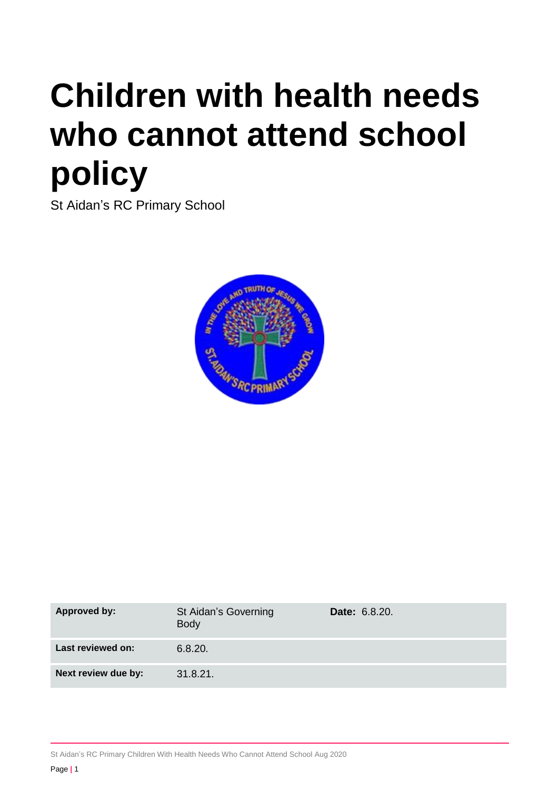# **Children with health needs who cannot attend school policy**

St Aidan's RC Primary School



| <b>Approved by:</b> | St Aidan's Governing<br><b>Body</b> | <b>Date: 6.8.20.</b> |
|---------------------|-------------------------------------|----------------------|
| Last reviewed on:   | 6.8.20.                             |                      |
| Next review due by: | 31.8.21.                            |                      |

St Aidan's RC Primary Children With Health Needs Who Cannot Attend School Aug 2020